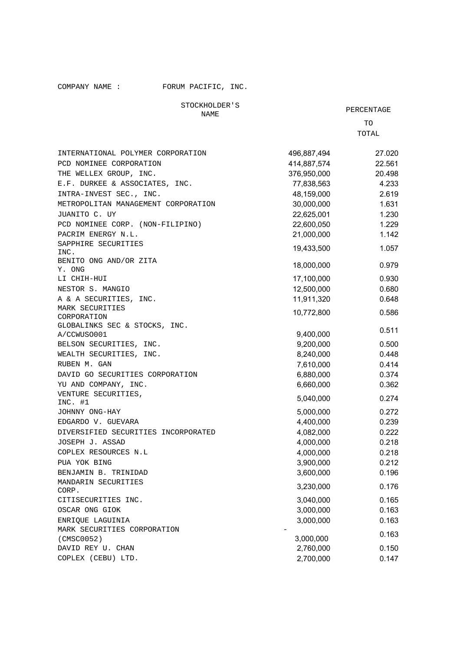COMPANY NAME : FORUM PACIFIC, INC.

STOCKHOLDER'S

PERCENTAGE TO

TOTAL

| INTERNATIONAL POLYMER CORPORATION    | 496,887,494 | 27.020 |
|--------------------------------------|-------------|--------|
| PCD NOMINEE CORPORATION              | 414,887,574 | 22.561 |
| THE WELLEX GROUP, INC.               | 376,950,000 | 20.498 |
| E.F. DURKEE & ASSOCIATES, INC.       | 77,838,563  | 4.233  |
| INTRA-INVEST SEC., INC.              | 48,159,000  | 2.619  |
| METROPOLITAN MANAGEMENT CORPORATION  | 30,000,000  | 1.631  |
| JUANITO C. UY                        | 22,625,001  | 1.230  |
| PCD NOMINEE CORP. (NON-FILIPINO)     | 22,600,050  | 1.229  |
| PACRIM ENERGY N.L.                   | 21,000,000  | 1.142  |
| SAPPHIRE SECURITIES                  |             |        |
| INC.                                 | 19,433,500  | 1.057  |
| BENITO ONG AND/OR ZITA               |             |        |
| Y. ONG                               | 18,000,000  | 0.979  |
| LI CHIH-HUI                          | 17,100,000  | 0.930  |
| NESTOR S. MANGIO                     | 12,500,000  | 0.680  |
| A & A SECURITIES, INC.               | 11,911,320  | 0.648  |
| MARK SECURITIES                      | 10,772,800  | 0.586  |
| CORPORATION                          |             |        |
| GLOBALINKS SEC & STOCKS, INC.        |             | 0.511  |
| A/CCWUSO001                          | 9,400,000   |        |
| BELSON SECURITIES, INC.              | 9,200,000   | 0.500  |
| WEALTH SECURITIES, INC.              | 8,240,000   | 0.448  |
| RUBEN M. GAN                         | 7,610,000   | 0.414  |
| DAVID GO SECURITIES CORPORATION      | 6,880,000   | 0.374  |
| YU AND COMPANY, INC.                 | 6,660,000   | 0.362  |
| VENTURE SECURITIES,                  | 5,040,000   | 0.274  |
| $INC.$ #1<br>JOHNNY ONG-HAY          | 5,000,000   | 0.272  |
| EDGARDO V. GUEVARA                   | 4,400,000   | 0.239  |
| DIVERSIFIED SECURITIES INCORPORATED  | 4,082,000   | 0.222  |
| JOSEPH J. ASSAD                      | 4,000,000   | 0.218  |
| COPLEX RESOURCES N.L                 | 4,000,000   | 0.218  |
|                                      |             | 0.212  |
| PUA YOK BING<br>BENJAMIN B. TRINIDAD | 3,900,000   |        |
| MANDARIN SECURITIES                  | 3,600,000   | 0.196  |
| CORP.                                | 3,230,000   | 0.176  |
| CITISECURITIES INC.                  | 3,040,000   | 0.165  |
| OSCAR ONG GIOK                       | 3,000,000   | 0.163  |
| ENRIQUE LAGUINIA                     | 3,000,000   | 0.163  |
| MARK SECURITIES CORPORATION          |             |        |
| (CMSC0052)                           | 3,000,000   | 0.163  |
| DAVID REY U. CHAN                    | 2,760,000   | 0.150  |
| COPLEX (CEBU) LTD.                   | 2,700,000   | 0.147  |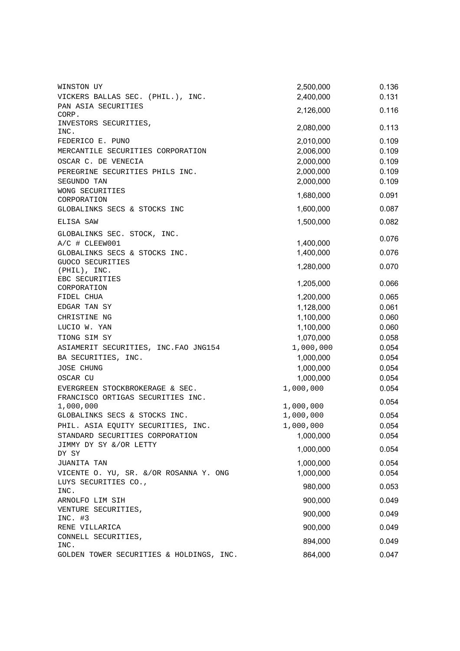| WINSTON UY                                     | 2,500,000 | 0.136 |
|------------------------------------------------|-----------|-------|
| VICKERS BALLAS SEC. (PHIL.), INC.              | 2,400,000 | 0.131 |
| PAN ASIA SECURITIES<br>CORP.                   | 2,126,000 | 0.116 |
| INVESTORS SECURITIES,<br>INC.                  | 2,080,000 | 0.113 |
| FEDERICO E. PUNO                               | 2,010,000 | 0.109 |
| MERCANTILE SECURITIES CORPORATION              | 2,006,000 | 0.109 |
| OSCAR C. DE VENECIA                            | 2,000,000 | 0.109 |
| PEREGRINE SECURITIES PHILS INC.                | 2,000,000 | 0.109 |
| SEGUNDO TAN                                    | 2,000,000 | 0.109 |
| WONG SECURITIES<br>CORPORATION                 | 1,680,000 | 0.091 |
| GLOBALINKS SECS & STOCKS INC                   | 1,600,000 | 0.087 |
| ELISA SAW                                      | 1,500,000 | 0.082 |
| GLOBALINKS SEC. STOCK, INC.                    |           | 0.076 |
| A/C # CLEEW001                                 | 1,400,000 |       |
| GLOBALINKS SECS & STOCKS INC.                  | 1,400,000 | 0.076 |
| GUOCO SECURITIES<br>(PHIL), INC.               | 1,280,000 | 0.070 |
| EBC SECURITIES                                 | 1,205,000 | 0.066 |
| CORPORATION<br>FIDEL CHUA                      | 1,200,000 | 0.065 |
| EDGAR TAN SY                                   | 1,128,000 | 0.061 |
|                                                |           | 0.060 |
| CHRISTINE NG                                   | 1,100,000 |       |
| LUCIO W. YAN                                   | 1,100,000 | 0.060 |
| TIONG SIM SY                                   | 1,070,000 | 0.058 |
| ASIAMERIT SECURITIES, INC. FAO JNG154          | 1,000,000 | 0.054 |
| BA SECURITIES, INC.                            | 1,000,000 | 0.054 |
| <b>JOSE CHUNG</b>                              | 1,000,000 | 0.054 |
| OSCAR CU                                       | 1,000,000 | 0.054 |
| EVERGREEN STOCKBROKERAGE & SEC.                | 1,000,000 | 0.054 |
| FRANCISCO ORTIGAS SECURITIES INC.<br>1,000,000 | 1,000,000 | 0.054 |
| GLOBALINKS SECS & STOCKS INC.                  | 1,000,000 | 0.054 |
| PHIL. ASIA EQUITY SECURITIES, INC.             | 1,000,000 | 0.054 |
| STANDARD SECURITIES CORPORATION                | 1,000,000 | 0.054 |
| JIMMY DY SY &/OR LETTY                         |           |       |
| DY SY                                          | 1,000,000 | 0.054 |
| JUANITA TAN                                    | 1,000,000 | 0.054 |
| VICENTE O. YU, SR. &/OR ROSANNA Y. ONG         | 1,000,000 | 0.054 |
| LUYS SECURITIES CO.,<br>INC.                   | 980,000   | 0.053 |
| ARNOLFO LIM SIH                                | 900,000   | 0.049 |
| VENTURE SECURITIES,                            | 900,000   | 0.049 |
| $INC.$ #3                                      |           |       |
| RENE VILLARICA                                 | 900,000   | 0.049 |
| CONNELL SECURITIES,                            | 894,000   | 0.049 |
| INC.                                           | 864,000   | 0.047 |
| GOLDEN TOWER SECURITIES & HOLDINGS, INC.       |           |       |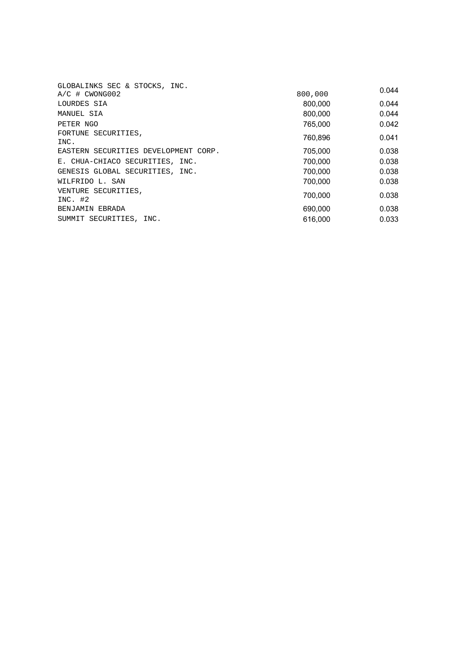| GLOBALINKS SEC & STOCKS, INC.        |         |       |
|--------------------------------------|---------|-------|
| $A/C$ # $CWONG002$                   | 800,000 | 0.044 |
| LOURDES SIA                          | 800,000 | 0.044 |
| MANUEL SIA                           | 800,000 | 0.044 |
| PETER NGO                            | 765,000 | 0.042 |
| FORTUNE SECURITIES,<br>INC.          | 760,896 | 0.041 |
| EASTERN SECURITIES DEVELOPMENT CORP. | 705.000 | 0.038 |
| E. CHUA-CHIACO SECURITIES, INC.      | 700.000 | 0.038 |
| GENESIS GLOBAL SECURITIES, INC.      | 700.000 | 0.038 |
| WILFRIDO L. SAN                      | 700.000 | 0.038 |
| VENTURE SECURITIES,<br>$INC.$ #2     | 700.000 | 0.038 |
| BENJAMIN EBRADA                      | 690,000 | 0.038 |
| SUMMIT SECURITIES, INC.              | 616,000 | 0.033 |
|                                      |         |       |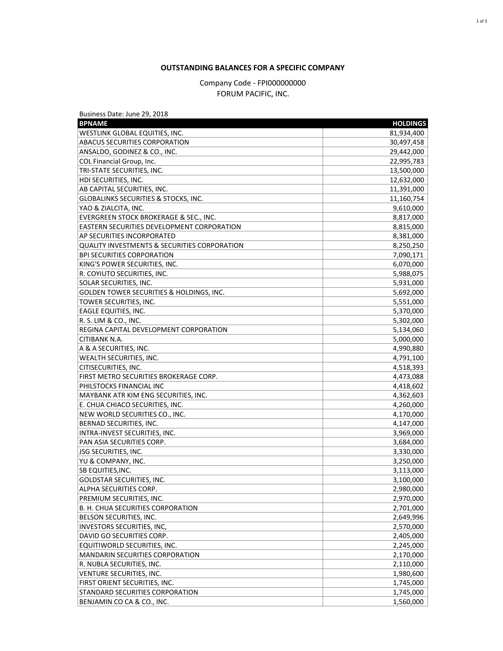## **OUTSTANDING BALANCES FOR A SPECIFIC COMPANY**

Company Code - FPI000000000 FORUM PACIFIC, INC.

| <b>BPNAME</b><br><b>HOLDINGS</b><br>WESTLINK GLOBAL EQUITIES, INC.<br>81,934,400<br><b>ABACUS SECURITIES CORPORATION</b><br>30,497,458<br>ANSALDO, GODINEZ & CO., INC.<br>29,442,000<br>COL Financial Group, Inc.<br>22,995,783<br>TRI-STATE SECURITIES, INC.<br>13,500,000<br>HDI SECURITIES, INC.<br>12,632,000<br>AB CAPITAL SECURITIES, INC.<br>11,391,000<br>GLOBALINKS SECURITIES & STOCKS, INC.<br>11,160,754<br>YAO & ZIALCITA, INC.<br>9,610,000<br>EVERGREEN STOCK BROKERAGE & SEC., INC.<br>8,817,000<br><b>EASTERN SECURITIES DEVELOPMENT CORPORATION</b><br>8,815,000<br><b>AP SECURITIES INCORPORATED</b><br>8,381,000<br>QUALITY INVESTMENTS & SECURITIES CORPORATION<br>8,250,250<br>7,090,171<br><b>BPI SECURITIES CORPORATION</b><br>KING'S POWER SECURITIES, INC.<br>6,070,000<br>R. COYIUTO SECURITIES, INC.<br>5,988,075<br><b>SOLAR SECURITIES, INC.</b><br>5,931,000<br>GOLDEN TOWER SECURITIES & HOLDINGS, INC.<br>5,692,000<br>TOWER SECURITIES, INC.<br>5,551,000<br><b>EAGLE EQUITIES, INC.</b><br>5,370,000<br>R. S. LIM & CO., INC.<br>5,302,000<br>REGINA CAPITAL DEVELOPMENT CORPORATION<br>5,134,060<br><b>CITIBANK N.A.</b><br>5,000,000<br>A & A SECURITIES, INC.<br>4,990,880<br>WEALTH SECURITIES, INC.<br>4,791,100<br>CITISECURITIES, INC.<br>4,518,393<br>FIRST METRO SECURITIES BROKERAGE CORP.<br>4,473,088<br>PHILSTOCKS FINANCIAL INC<br>4,418,602<br>MAYBANK ATR KIM ENG SECURITIES, INC.<br>4,362,603<br>E. CHUA CHIACO SECURITIES, INC.<br>4,260,000<br>NEW WORLD SECURITIES CO., INC.<br>4,170,000<br>BERNAD SECURITIES, INC.<br>4,147,000<br>INTRA-INVEST SECURITIES, INC.<br>3,969,000<br>PAN ASIA SECURITIES CORP.<br>3,684,000<br><b>JSG SECURITIES, INC.</b><br>3,330,000<br>YU & COMPANY, INC.<br>3,250,000<br><b>SB EQUITIES, INC.</b><br>3,113,000<br>3,100,000<br>GOLDSTAR SECURITIES, INC.<br>2,980,000<br>ALPHA SECURITIES CORP.<br>2,970,000<br>PREMIUM SECURITIES, INC.<br>B. H. CHUA SECURITIES CORPORATION<br>2,701,000<br>BELSON SECURITIES, INC.<br>2,649,996<br>INVESTORS SECURITIES, INC,<br>2,570,000<br>DAVID GO SECURITIES CORP.<br>2,405,000<br>EQUITIWORLD SECURITIES, INC.<br>2,245,000<br><b>MANDARIN SECURITIES CORPORATION</b><br>2,170,000<br>R. NUBLA SECURITIES, INC.<br>2,110,000<br>VENTURE SECURITIES, INC.<br>1,980,600<br>FIRST ORIENT SECURITIES, INC.<br>1,745,000<br><b>STANDARD SECURITIES CORPORATION</b><br>1,745,000<br>BENJAMIN CO CA & CO., INC.<br>1,560,000 | Business Date: June 29, 2018 |  |
|-----------------------------------------------------------------------------------------------------------------------------------------------------------------------------------------------------------------------------------------------------------------------------------------------------------------------------------------------------------------------------------------------------------------------------------------------------------------------------------------------------------------------------------------------------------------------------------------------------------------------------------------------------------------------------------------------------------------------------------------------------------------------------------------------------------------------------------------------------------------------------------------------------------------------------------------------------------------------------------------------------------------------------------------------------------------------------------------------------------------------------------------------------------------------------------------------------------------------------------------------------------------------------------------------------------------------------------------------------------------------------------------------------------------------------------------------------------------------------------------------------------------------------------------------------------------------------------------------------------------------------------------------------------------------------------------------------------------------------------------------------------------------------------------------------------------------------------------------------------------------------------------------------------------------------------------------------------------------------------------------------------------------------------------------------------------------------------------------------------------------------------------------------------------------------------------------------------------------------------------------------------------------------------------------------------------------------------------------------------------------------------------------------------------------------------------------------------|------------------------------|--|
|                                                                                                                                                                                                                                                                                                                                                                                                                                                                                                                                                                                                                                                                                                                                                                                                                                                                                                                                                                                                                                                                                                                                                                                                                                                                                                                                                                                                                                                                                                                                                                                                                                                                                                                                                                                                                                                                                                                                                                                                                                                                                                                                                                                                                                                                                                                                                                                                                                                           |                              |  |
|                                                                                                                                                                                                                                                                                                                                                                                                                                                                                                                                                                                                                                                                                                                                                                                                                                                                                                                                                                                                                                                                                                                                                                                                                                                                                                                                                                                                                                                                                                                                                                                                                                                                                                                                                                                                                                                                                                                                                                                                                                                                                                                                                                                                                                                                                                                                                                                                                                                           |                              |  |
|                                                                                                                                                                                                                                                                                                                                                                                                                                                                                                                                                                                                                                                                                                                                                                                                                                                                                                                                                                                                                                                                                                                                                                                                                                                                                                                                                                                                                                                                                                                                                                                                                                                                                                                                                                                                                                                                                                                                                                                                                                                                                                                                                                                                                                                                                                                                                                                                                                                           |                              |  |
|                                                                                                                                                                                                                                                                                                                                                                                                                                                                                                                                                                                                                                                                                                                                                                                                                                                                                                                                                                                                                                                                                                                                                                                                                                                                                                                                                                                                                                                                                                                                                                                                                                                                                                                                                                                                                                                                                                                                                                                                                                                                                                                                                                                                                                                                                                                                                                                                                                                           |                              |  |
|                                                                                                                                                                                                                                                                                                                                                                                                                                                                                                                                                                                                                                                                                                                                                                                                                                                                                                                                                                                                                                                                                                                                                                                                                                                                                                                                                                                                                                                                                                                                                                                                                                                                                                                                                                                                                                                                                                                                                                                                                                                                                                                                                                                                                                                                                                                                                                                                                                                           |                              |  |
|                                                                                                                                                                                                                                                                                                                                                                                                                                                                                                                                                                                                                                                                                                                                                                                                                                                                                                                                                                                                                                                                                                                                                                                                                                                                                                                                                                                                                                                                                                                                                                                                                                                                                                                                                                                                                                                                                                                                                                                                                                                                                                                                                                                                                                                                                                                                                                                                                                                           |                              |  |
|                                                                                                                                                                                                                                                                                                                                                                                                                                                                                                                                                                                                                                                                                                                                                                                                                                                                                                                                                                                                                                                                                                                                                                                                                                                                                                                                                                                                                                                                                                                                                                                                                                                                                                                                                                                                                                                                                                                                                                                                                                                                                                                                                                                                                                                                                                                                                                                                                                                           |                              |  |
|                                                                                                                                                                                                                                                                                                                                                                                                                                                                                                                                                                                                                                                                                                                                                                                                                                                                                                                                                                                                                                                                                                                                                                                                                                                                                                                                                                                                                                                                                                                                                                                                                                                                                                                                                                                                                                                                                                                                                                                                                                                                                                                                                                                                                                                                                                                                                                                                                                                           |                              |  |
|                                                                                                                                                                                                                                                                                                                                                                                                                                                                                                                                                                                                                                                                                                                                                                                                                                                                                                                                                                                                                                                                                                                                                                                                                                                                                                                                                                                                                                                                                                                                                                                                                                                                                                                                                                                                                                                                                                                                                                                                                                                                                                                                                                                                                                                                                                                                                                                                                                                           |                              |  |
|                                                                                                                                                                                                                                                                                                                                                                                                                                                                                                                                                                                                                                                                                                                                                                                                                                                                                                                                                                                                                                                                                                                                                                                                                                                                                                                                                                                                                                                                                                                                                                                                                                                                                                                                                                                                                                                                                                                                                                                                                                                                                                                                                                                                                                                                                                                                                                                                                                                           |                              |  |
|                                                                                                                                                                                                                                                                                                                                                                                                                                                                                                                                                                                                                                                                                                                                                                                                                                                                                                                                                                                                                                                                                                                                                                                                                                                                                                                                                                                                                                                                                                                                                                                                                                                                                                                                                                                                                                                                                                                                                                                                                                                                                                                                                                                                                                                                                                                                                                                                                                                           |                              |  |
|                                                                                                                                                                                                                                                                                                                                                                                                                                                                                                                                                                                                                                                                                                                                                                                                                                                                                                                                                                                                                                                                                                                                                                                                                                                                                                                                                                                                                                                                                                                                                                                                                                                                                                                                                                                                                                                                                                                                                                                                                                                                                                                                                                                                                                                                                                                                                                                                                                                           |                              |  |
|                                                                                                                                                                                                                                                                                                                                                                                                                                                                                                                                                                                                                                                                                                                                                                                                                                                                                                                                                                                                                                                                                                                                                                                                                                                                                                                                                                                                                                                                                                                                                                                                                                                                                                                                                                                                                                                                                                                                                                                                                                                                                                                                                                                                                                                                                                                                                                                                                                                           |                              |  |
|                                                                                                                                                                                                                                                                                                                                                                                                                                                                                                                                                                                                                                                                                                                                                                                                                                                                                                                                                                                                                                                                                                                                                                                                                                                                                                                                                                                                                                                                                                                                                                                                                                                                                                                                                                                                                                                                                                                                                                                                                                                                                                                                                                                                                                                                                                                                                                                                                                                           |                              |  |
|                                                                                                                                                                                                                                                                                                                                                                                                                                                                                                                                                                                                                                                                                                                                                                                                                                                                                                                                                                                                                                                                                                                                                                                                                                                                                                                                                                                                                                                                                                                                                                                                                                                                                                                                                                                                                                                                                                                                                                                                                                                                                                                                                                                                                                                                                                                                                                                                                                                           |                              |  |
|                                                                                                                                                                                                                                                                                                                                                                                                                                                                                                                                                                                                                                                                                                                                                                                                                                                                                                                                                                                                                                                                                                                                                                                                                                                                                                                                                                                                                                                                                                                                                                                                                                                                                                                                                                                                                                                                                                                                                                                                                                                                                                                                                                                                                                                                                                                                                                                                                                                           |                              |  |
|                                                                                                                                                                                                                                                                                                                                                                                                                                                                                                                                                                                                                                                                                                                                                                                                                                                                                                                                                                                                                                                                                                                                                                                                                                                                                                                                                                                                                                                                                                                                                                                                                                                                                                                                                                                                                                                                                                                                                                                                                                                                                                                                                                                                                                                                                                                                                                                                                                                           |                              |  |
|                                                                                                                                                                                                                                                                                                                                                                                                                                                                                                                                                                                                                                                                                                                                                                                                                                                                                                                                                                                                                                                                                                                                                                                                                                                                                                                                                                                                                                                                                                                                                                                                                                                                                                                                                                                                                                                                                                                                                                                                                                                                                                                                                                                                                                                                                                                                                                                                                                                           |                              |  |
|                                                                                                                                                                                                                                                                                                                                                                                                                                                                                                                                                                                                                                                                                                                                                                                                                                                                                                                                                                                                                                                                                                                                                                                                                                                                                                                                                                                                                                                                                                                                                                                                                                                                                                                                                                                                                                                                                                                                                                                                                                                                                                                                                                                                                                                                                                                                                                                                                                                           |                              |  |
|                                                                                                                                                                                                                                                                                                                                                                                                                                                                                                                                                                                                                                                                                                                                                                                                                                                                                                                                                                                                                                                                                                                                                                                                                                                                                                                                                                                                                                                                                                                                                                                                                                                                                                                                                                                                                                                                                                                                                                                                                                                                                                                                                                                                                                                                                                                                                                                                                                                           |                              |  |
|                                                                                                                                                                                                                                                                                                                                                                                                                                                                                                                                                                                                                                                                                                                                                                                                                                                                                                                                                                                                                                                                                                                                                                                                                                                                                                                                                                                                                                                                                                                                                                                                                                                                                                                                                                                                                                                                                                                                                                                                                                                                                                                                                                                                                                                                                                                                                                                                                                                           |                              |  |
|                                                                                                                                                                                                                                                                                                                                                                                                                                                                                                                                                                                                                                                                                                                                                                                                                                                                                                                                                                                                                                                                                                                                                                                                                                                                                                                                                                                                                                                                                                                                                                                                                                                                                                                                                                                                                                                                                                                                                                                                                                                                                                                                                                                                                                                                                                                                                                                                                                                           |                              |  |
|                                                                                                                                                                                                                                                                                                                                                                                                                                                                                                                                                                                                                                                                                                                                                                                                                                                                                                                                                                                                                                                                                                                                                                                                                                                                                                                                                                                                                                                                                                                                                                                                                                                                                                                                                                                                                                                                                                                                                                                                                                                                                                                                                                                                                                                                                                                                                                                                                                                           |                              |  |
|                                                                                                                                                                                                                                                                                                                                                                                                                                                                                                                                                                                                                                                                                                                                                                                                                                                                                                                                                                                                                                                                                                                                                                                                                                                                                                                                                                                                                                                                                                                                                                                                                                                                                                                                                                                                                                                                                                                                                                                                                                                                                                                                                                                                                                                                                                                                                                                                                                                           |                              |  |
|                                                                                                                                                                                                                                                                                                                                                                                                                                                                                                                                                                                                                                                                                                                                                                                                                                                                                                                                                                                                                                                                                                                                                                                                                                                                                                                                                                                                                                                                                                                                                                                                                                                                                                                                                                                                                                                                                                                                                                                                                                                                                                                                                                                                                                                                                                                                                                                                                                                           |                              |  |
|                                                                                                                                                                                                                                                                                                                                                                                                                                                                                                                                                                                                                                                                                                                                                                                                                                                                                                                                                                                                                                                                                                                                                                                                                                                                                                                                                                                                                                                                                                                                                                                                                                                                                                                                                                                                                                                                                                                                                                                                                                                                                                                                                                                                                                                                                                                                                                                                                                                           |                              |  |
|                                                                                                                                                                                                                                                                                                                                                                                                                                                                                                                                                                                                                                                                                                                                                                                                                                                                                                                                                                                                                                                                                                                                                                                                                                                                                                                                                                                                                                                                                                                                                                                                                                                                                                                                                                                                                                                                                                                                                                                                                                                                                                                                                                                                                                                                                                                                                                                                                                                           |                              |  |
|                                                                                                                                                                                                                                                                                                                                                                                                                                                                                                                                                                                                                                                                                                                                                                                                                                                                                                                                                                                                                                                                                                                                                                                                                                                                                                                                                                                                                                                                                                                                                                                                                                                                                                                                                                                                                                                                                                                                                                                                                                                                                                                                                                                                                                                                                                                                                                                                                                                           |                              |  |
|                                                                                                                                                                                                                                                                                                                                                                                                                                                                                                                                                                                                                                                                                                                                                                                                                                                                                                                                                                                                                                                                                                                                                                                                                                                                                                                                                                                                                                                                                                                                                                                                                                                                                                                                                                                                                                                                                                                                                                                                                                                                                                                                                                                                                                                                                                                                                                                                                                                           |                              |  |
|                                                                                                                                                                                                                                                                                                                                                                                                                                                                                                                                                                                                                                                                                                                                                                                                                                                                                                                                                                                                                                                                                                                                                                                                                                                                                                                                                                                                                                                                                                                                                                                                                                                                                                                                                                                                                                                                                                                                                                                                                                                                                                                                                                                                                                                                                                                                                                                                                                                           |                              |  |
|                                                                                                                                                                                                                                                                                                                                                                                                                                                                                                                                                                                                                                                                                                                                                                                                                                                                                                                                                                                                                                                                                                                                                                                                                                                                                                                                                                                                                                                                                                                                                                                                                                                                                                                                                                                                                                                                                                                                                                                                                                                                                                                                                                                                                                                                                                                                                                                                                                                           |                              |  |
|                                                                                                                                                                                                                                                                                                                                                                                                                                                                                                                                                                                                                                                                                                                                                                                                                                                                                                                                                                                                                                                                                                                                                                                                                                                                                                                                                                                                                                                                                                                                                                                                                                                                                                                                                                                                                                                                                                                                                                                                                                                                                                                                                                                                                                                                                                                                                                                                                                                           |                              |  |
|                                                                                                                                                                                                                                                                                                                                                                                                                                                                                                                                                                                                                                                                                                                                                                                                                                                                                                                                                                                                                                                                                                                                                                                                                                                                                                                                                                                                                                                                                                                                                                                                                                                                                                                                                                                                                                                                                                                                                                                                                                                                                                                                                                                                                                                                                                                                                                                                                                                           |                              |  |
|                                                                                                                                                                                                                                                                                                                                                                                                                                                                                                                                                                                                                                                                                                                                                                                                                                                                                                                                                                                                                                                                                                                                                                                                                                                                                                                                                                                                                                                                                                                                                                                                                                                                                                                                                                                                                                                                                                                                                                                                                                                                                                                                                                                                                                                                                                                                                                                                                                                           |                              |  |
|                                                                                                                                                                                                                                                                                                                                                                                                                                                                                                                                                                                                                                                                                                                                                                                                                                                                                                                                                                                                                                                                                                                                                                                                                                                                                                                                                                                                                                                                                                                                                                                                                                                                                                                                                                                                                                                                                                                                                                                                                                                                                                                                                                                                                                                                                                                                                                                                                                                           |                              |  |
|                                                                                                                                                                                                                                                                                                                                                                                                                                                                                                                                                                                                                                                                                                                                                                                                                                                                                                                                                                                                                                                                                                                                                                                                                                                                                                                                                                                                                                                                                                                                                                                                                                                                                                                                                                                                                                                                                                                                                                                                                                                                                                                                                                                                                                                                                                                                                                                                                                                           |                              |  |
|                                                                                                                                                                                                                                                                                                                                                                                                                                                                                                                                                                                                                                                                                                                                                                                                                                                                                                                                                                                                                                                                                                                                                                                                                                                                                                                                                                                                                                                                                                                                                                                                                                                                                                                                                                                                                                                                                                                                                                                                                                                                                                                                                                                                                                                                                                                                                                                                                                                           |                              |  |
|                                                                                                                                                                                                                                                                                                                                                                                                                                                                                                                                                                                                                                                                                                                                                                                                                                                                                                                                                                                                                                                                                                                                                                                                                                                                                                                                                                                                                                                                                                                                                                                                                                                                                                                                                                                                                                                                                                                                                                                                                                                                                                                                                                                                                                                                                                                                                                                                                                                           |                              |  |
|                                                                                                                                                                                                                                                                                                                                                                                                                                                                                                                                                                                                                                                                                                                                                                                                                                                                                                                                                                                                                                                                                                                                                                                                                                                                                                                                                                                                                                                                                                                                                                                                                                                                                                                                                                                                                                                                                                                                                                                                                                                                                                                                                                                                                                                                                                                                                                                                                                                           |                              |  |
|                                                                                                                                                                                                                                                                                                                                                                                                                                                                                                                                                                                                                                                                                                                                                                                                                                                                                                                                                                                                                                                                                                                                                                                                                                                                                                                                                                                                                                                                                                                                                                                                                                                                                                                                                                                                                                                                                                                                                                                                                                                                                                                                                                                                                                                                                                                                                                                                                                                           |                              |  |
|                                                                                                                                                                                                                                                                                                                                                                                                                                                                                                                                                                                                                                                                                                                                                                                                                                                                                                                                                                                                                                                                                                                                                                                                                                                                                                                                                                                                                                                                                                                                                                                                                                                                                                                                                                                                                                                                                                                                                                                                                                                                                                                                                                                                                                                                                                                                                                                                                                                           |                              |  |
|                                                                                                                                                                                                                                                                                                                                                                                                                                                                                                                                                                                                                                                                                                                                                                                                                                                                                                                                                                                                                                                                                                                                                                                                                                                                                                                                                                                                                                                                                                                                                                                                                                                                                                                                                                                                                                                                                                                                                                                                                                                                                                                                                                                                                                                                                                                                                                                                                                                           |                              |  |
|                                                                                                                                                                                                                                                                                                                                                                                                                                                                                                                                                                                                                                                                                                                                                                                                                                                                                                                                                                                                                                                                                                                                                                                                                                                                                                                                                                                                                                                                                                                                                                                                                                                                                                                                                                                                                                                                                                                                                                                                                                                                                                                                                                                                                                                                                                                                                                                                                                                           |                              |  |
|                                                                                                                                                                                                                                                                                                                                                                                                                                                                                                                                                                                                                                                                                                                                                                                                                                                                                                                                                                                                                                                                                                                                                                                                                                                                                                                                                                                                                                                                                                                                                                                                                                                                                                                                                                                                                                                                                                                                                                                                                                                                                                                                                                                                                                                                                                                                                                                                                                                           |                              |  |
|                                                                                                                                                                                                                                                                                                                                                                                                                                                                                                                                                                                                                                                                                                                                                                                                                                                                                                                                                                                                                                                                                                                                                                                                                                                                                                                                                                                                                                                                                                                                                                                                                                                                                                                                                                                                                                                                                                                                                                                                                                                                                                                                                                                                                                                                                                                                                                                                                                                           |                              |  |
|                                                                                                                                                                                                                                                                                                                                                                                                                                                                                                                                                                                                                                                                                                                                                                                                                                                                                                                                                                                                                                                                                                                                                                                                                                                                                                                                                                                                                                                                                                                                                                                                                                                                                                                                                                                                                                                                                                                                                                                                                                                                                                                                                                                                                                                                                                                                                                                                                                                           |                              |  |
|                                                                                                                                                                                                                                                                                                                                                                                                                                                                                                                                                                                                                                                                                                                                                                                                                                                                                                                                                                                                                                                                                                                                                                                                                                                                                                                                                                                                                                                                                                                                                                                                                                                                                                                                                                                                                                                                                                                                                                                                                                                                                                                                                                                                                                                                                                                                                                                                                                                           |                              |  |
|                                                                                                                                                                                                                                                                                                                                                                                                                                                                                                                                                                                                                                                                                                                                                                                                                                                                                                                                                                                                                                                                                                                                                                                                                                                                                                                                                                                                                                                                                                                                                                                                                                                                                                                                                                                                                                                                                                                                                                                                                                                                                                                                                                                                                                                                                                                                                                                                                                                           |                              |  |
|                                                                                                                                                                                                                                                                                                                                                                                                                                                                                                                                                                                                                                                                                                                                                                                                                                                                                                                                                                                                                                                                                                                                                                                                                                                                                                                                                                                                                                                                                                                                                                                                                                                                                                                                                                                                                                                                                                                                                                                                                                                                                                                                                                                                                                                                                                                                                                                                                                                           |                              |  |
|                                                                                                                                                                                                                                                                                                                                                                                                                                                                                                                                                                                                                                                                                                                                                                                                                                                                                                                                                                                                                                                                                                                                                                                                                                                                                                                                                                                                                                                                                                                                                                                                                                                                                                                                                                                                                                                                                                                                                                                                                                                                                                                                                                                                                                                                                                                                                                                                                                                           |                              |  |
|                                                                                                                                                                                                                                                                                                                                                                                                                                                                                                                                                                                                                                                                                                                                                                                                                                                                                                                                                                                                                                                                                                                                                                                                                                                                                                                                                                                                                                                                                                                                                                                                                                                                                                                                                                                                                                                                                                                                                                                                                                                                                                                                                                                                                                                                                                                                                                                                                                                           |                              |  |
|                                                                                                                                                                                                                                                                                                                                                                                                                                                                                                                                                                                                                                                                                                                                                                                                                                                                                                                                                                                                                                                                                                                                                                                                                                                                                                                                                                                                                                                                                                                                                                                                                                                                                                                                                                                                                                                                                                                                                                                                                                                                                                                                                                                                                                                                                                                                                                                                                                                           |                              |  |
|                                                                                                                                                                                                                                                                                                                                                                                                                                                                                                                                                                                                                                                                                                                                                                                                                                                                                                                                                                                                                                                                                                                                                                                                                                                                                                                                                                                                                                                                                                                                                                                                                                                                                                                                                                                                                                                                                                                                                                                                                                                                                                                                                                                                                                                                                                                                                                                                                                                           |                              |  |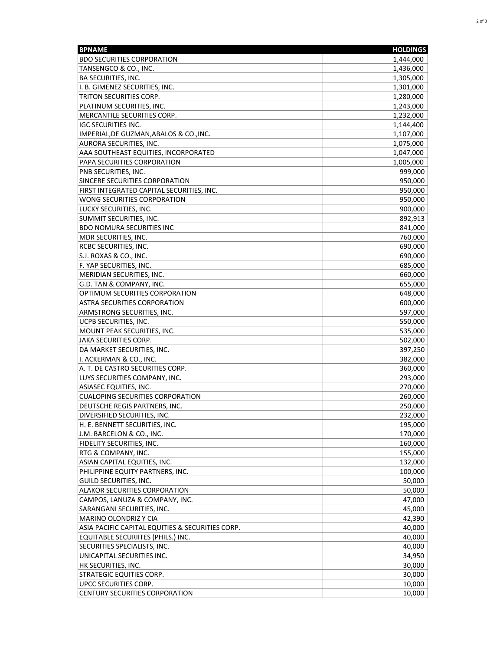| <b>BPNAME</b>                                    | <b>HOLDINGS</b> |
|--------------------------------------------------|-----------------|
| <b>BDO SECURITIES CORPORATION</b>                | 1,444,000       |
| TANSENGCO & CO., INC.                            | 1,436,000       |
| <b>BA SECURITIES, INC.</b>                       | 1,305,000       |
| I. B. GIMENEZ SECURITIES, INC.                   | 1,301,000       |
| <b>TRITON SECURITIES CORP.</b>                   | 1,280,000       |
| PLATINUM SECURITIES, INC.                        | 1,243,000       |
| MERCANTILE SECURITIES CORP.                      | 1,232,000       |
| <b>IGC SECURITIES INC.</b>                       | 1,144,400       |
| IMPERIAL, DE GUZMAN, ABALOS & CO., INC.          | 1,107,000       |
| AURORA SECURITIES, INC.                          | 1,075,000       |
| AAA SOUTHEAST EQUITIES, INCORPORATED             | 1,047,000       |
| PAPA SECURITIES CORPORATION                      | 1,005,000       |
| <b>PNB SECURITIES, INC.</b>                      | 999,000         |
| SINCERE SECURITIES CORPORATION                   | 950,000         |
| FIRST INTEGRATED CAPITAL SECURITIES, INC.        | 950,000         |
| WONG SECURITIES CORPORATION                      | 950,000         |
| LUCKY SECURITIES, INC.                           | 900,000         |
| SUMMIT SECURITIES, INC.                          | 892,913         |
| <b>BDO NOMURA SECURITIES INC</b>                 | 841,000         |
| MDR SECURITIES, INC.                             | 760,000         |
| <b>RCBC SECURITIES, INC.</b>                     | 690,000         |
| S.J. ROXAS & CO., INC.                           | 690,000         |
| F. YAP SECURITIES, INC.                          | 685,000         |
| MERIDIAN SECURITIES, INC.                        | 660,000         |
| G.D. TAN & COMPANY, INC.                         | 655,000         |
| OPTIMUM SECURITIES CORPORATION                   | 648,000         |
| <b>ASTRA SECURITIES CORPORATION</b>              | 600,000         |
| ARMSTRONG SECURITIES, INC.                       | 597,000         |
| <b>UCPB SECURITIES, INC.</b>                     | 550,000         |
| MOUNT PEAK SECURITIES, INC.                      | 535,000         |
| JAKA SECURITIES CORP.                            | 502,000         |
| DA MARKET SECURITIES, INC.                       | 397,250         |
| II. ACKERMAN & CO., INC.                         | 382,000         |
| A. T. DE CASTRO SECURITIES CORP.                 | 360,000         |
| LUYS SECURITIES COMPANY, INC.                    | 293,000         |
| ASIASEC EQUITIES, INC.                           | 270,000         |
| <b>CUALOPING SECURITIES CORPORATION</b>          | 260,000         |
| DEUTSCHE REGIS PARTNERS, INC.                    | 250,000         |
| DIVERSIFIED SECURITIES, INC.                     | 232,000         |
| H. E. BENNETT SECURITIES, INC.                   | 195,000         |
| J.M. BARCELON & CO., INC.                        | 170,000         |
| FIDELITY SECURITIES, INC.                        | 160,000         |
| RTG & COMPANY, INC.                              | 155,000         |
| ASIAN CAPITAL EQUITIES, INC.                     | 132,000         |
| PHILIPPINE EQUITY PARTNERS, INC.                 | 100,000         |
| GUILD SECURITIES, INC.                           | 50,000          |
| <b>ALAKOR SECURITIES CORPORATION</b>             | 50,000          |
| CAMPOS, LANUZA & COMPANY, INC.                   | 47,000          |
| SARANGANI SECURITIES, INC.                       | 45,000          |
| MARINO OLONDRIZ Y CIA                            | 42,390          |
| ASIA PACIFIC CAPITAL EQUITIES & SECURITIES CORP. | 40,000          |
| EQUITABLE SECURIITES (PHILS.) INC.               | 40,000          |
| SECURITIES SPECIALISTS, INC.                     | 40,000          |
| UNICAPITAL SECURITIES INC.                       | 34,950          |
| HK SECURITIES, INC.                              | 30,000          |
| <b>STRATEGIC EQUITIES CORP.</b>                  | 30,000          |
| UPCC SECURITIES CORP.                            | 10,000          |
| <b>CENTURY SECURITIES CORPORATION</b>            | 10,000          |